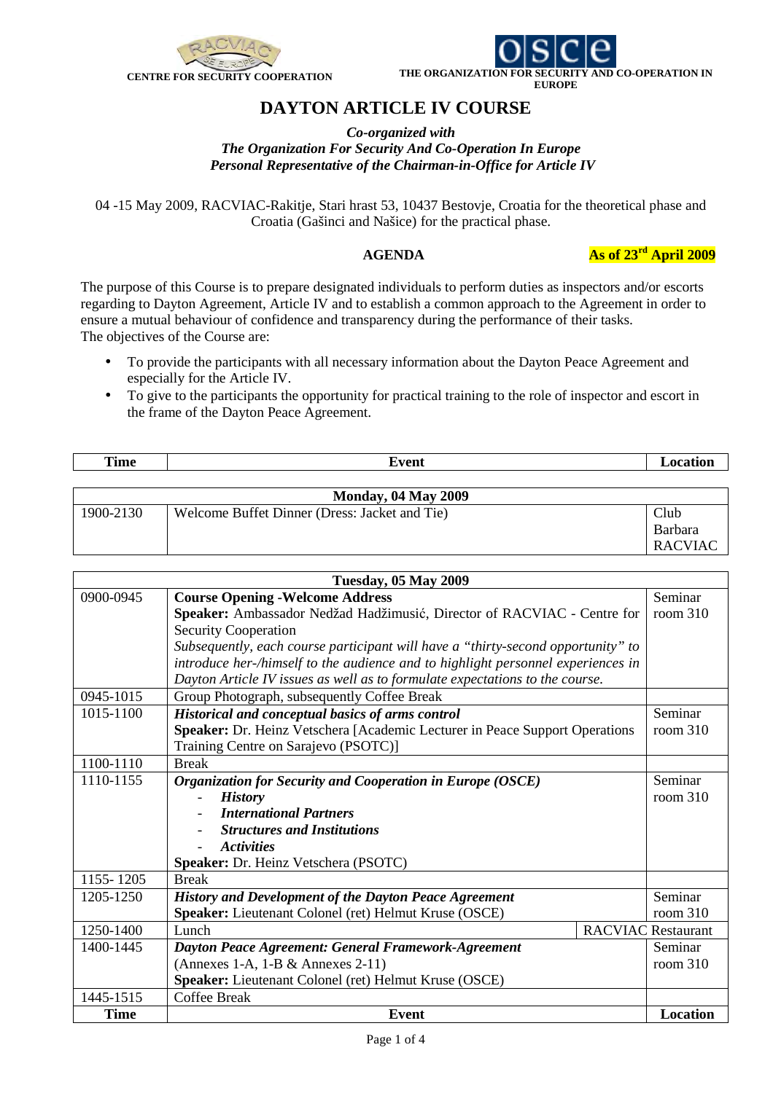



## **DAYTON ARTICLE IV COURSE**

*Co-organized with The Organization For Security And Co-Operation In Europe Personal Representative of the Chairman-in-Office for Article IV* 

04 -15 May 2009, RACVIAC-Rakitje, Stari hrast 53, 10437 Bestovje, Croatia for the theoretical phase and Croatia (Gašinci and Našice) for the practical phase.

 **AGENDA As of 23rd April 2009** 

The purpose of this Course is to prepare designated individuals to perform duties as inspectors and/or escorts regarding to Dayton Agreement, Article IV and to establish a common approach to the Agreement in order to ensure a mutual behaviour of confidence and transparency during the performance of their tasks. The objectives of the Course are:

- To provide the participants with all necessary information about the Dayton Peace Agreement and especially for the Article IV.
- To give to the participants the opportunity for practical training to the role of inspector and escort in the frame of the Dayton Peace Agreement.

| <br>Time | ™u∩m<br>一旦上半<br>-<br>. |  |
|----------|------------------------|--|
|          |                        |  |

| <b>Monday, 04 May 2009</b> |                                               |                |
|----------------------------|-----------------------------------------------|----------------|
| 1900-2130                  | Welcome Buffet Dinner (Dress: Jacket and Tie) | Club           |
|                            |                                               | Barbara        |
|                            |                                               | <b>RACVIAC</b> |

| <b>Tuesday, 05 May 2009</b> |                                                                                  |  |                           |  |
|-----------------------------|----------------------------------------------------------------------------------|--|---------------------------|--|
| 0900-0945                   | <b>Course Opening - Welcome Address</b>                                          |  | Seminar                   |  |
|                             | Speaker: Ambassador Nedžad Hadžimusić, Director of RACVIAC - Centre for          |  | room $310$                |  |
|                             | <b>Security Cooperation</b>                                                      |  |                           |  |
|                             | Subsequently, each course participant will have a "thirty-second opportunity" to |  |                           |  |
|                             | introduce her-/himself to the audience and to highlight personnel experiences in |  |                           |  |
|                             | Dayton Article IV issues as well as to formulate expectations to the course.     |  |                           |  |
| 0945-1015                   | Group Photograph, subsequently Coffee Break                                      |  |                           |  |
| 1015-1100                   | Historical and conceptual basics of arms control                                 |  | Seminar                   |  |
|                             | Speaker: Dr. Heinz Vetschera [Academic Lecturer in Peace Support Operations      |  | room $310$                |  |
|                             | Training Centre on Sarajevo (PSOTC)]                                             |  |                           |  |
| 1100-1110                   | <b>Break</b>                                                                     |  |                           |  |
| 1110-1155                   | Organization for Security and Cooperation in Europe (OSCE)                       |  | Seminar                   |  |
|                             | <b>History</b>                                                                   |  | room $310$                |  |
|                             | <b>International Partners</b>                                                    |  |                           |  |
|                             | <b>Structures and Institutions</b>                                               |  |                           |  |
|                             | <i><b>Activities</b></i>                                                         |  |                           |  |
|                             | Speaker: Dr. Heinz Vetschera (PSOTC)                                             |  |                           |  |
| 1155-1205                   | <b>Break</b>                                                                     |  |                           |  |
| 1205-1250                   | <b>History and Development of the Dayton Peace Agreement</b>                     |  | Seminar                   |  |
|                             | Speaker: Lieutenant Colonel (ret) Helmut Kruse (OSCE)                            |  | room $310$                |  |
| 1250-1400                   | Lunch                                                                            |  | <b>RACVIAC Restaurant</b> |  |
| 1400-1445                   | <b>Dayton Peace Agreement: General Framework-Agreement</b>                       |  | Seminar                   |  |
|                             | (Annexes 1-A, 1-B $&$ Annexes 2-11)                                              |  | room $310$                |  |
|                             | Speaker: Lieutenant Colonel (ret) Helmut Kruse (OSCE)                            |  |                           |  |
| 1445-1515                   | <b>Coffee Break</b>                                                              |  |                           |  |
| <b>Time</b>                 | <b>Event</b>                                                                     |  | <b>Location</b>           |  |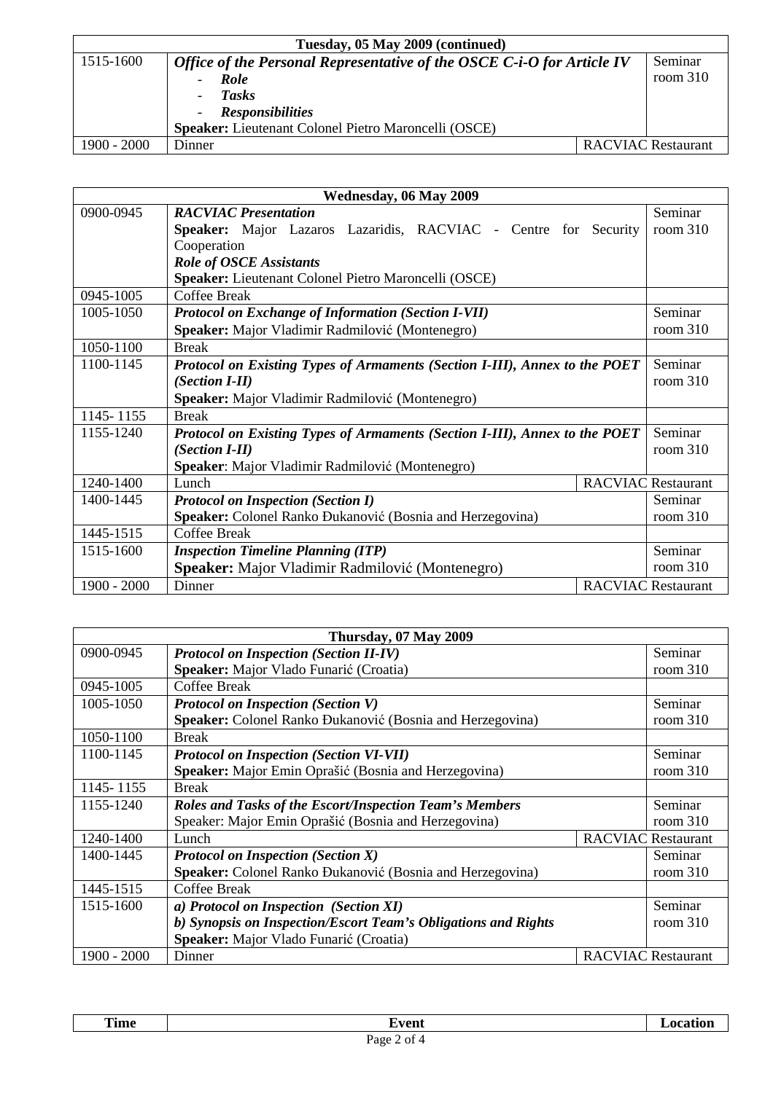| Tuesday, 05 May 2009 (continued) |                                                                        |  |                           |
|----------------------------------|------------------------------------------------------------------------|--|---------------------------|
| 1515-1600                        | Office of the Personal Representative of the OSCE C-i-O for Article IV |  | Seminar                   |
|                                  | Role<br>$\overline{\phantom{0}}$                                       |  | room $310$                |
|                                  | <b>Tasks</b>                                                           |  |                           |
|                                  | <b>Responsibilities</b>                                                |  |                           |
|                                  | <b>Speaker:</b> Lieutenant Colonel Pietro Maroncelli (OSCE)            |  |                           |
| $1900 - 2000$                    | Dinner                                                                 |  | <b>RACVIAC Restaurant</b> |

| Wednesday, 06 May 2009 |                                                                            |          |                           |
|------------------------|----------------------------------------------------------------------------|----------|---------------------------|
| 0900-0945              | <b>RACVIAC Presentation</b>                                                |          | Seminar                   |
|                        | Speaker: Major Lazaros Lazaridis, RACVIAC - Centre for                     | Security | room $310$                |
|                        | Cooperation                                                                |          |                           |
|                        | <b>Role of OSCE Assistants</b>                                             |          |                           |
|                        | Speaker: Lieutenant Colonel Pietro Maroncelli (OSCE)                       |          |                           |
| 0945-1005              | Coffee Break                                                               |          |                           |
| 1005-1050              | <b>Protocol on Exchange of Information (Section I-VII)</b>                 |          | Seminar                   |
|                        | Speaker: Major Vladimir Radmilović (Montenegro)                            |          | room $310$                |
| 1050-1100              | <b>Break</b>                                                               |          |                           |
| 1100-1145              | Protocol on Existing Types of Armaments (Section I-III), Annex to the POET |          | Seminar                   |
|                        | (Section I-II)                                                             |          | room $310$                |
|                        | Speaker: Major Vladimir Radmilović (Montenegro)                            |          |                           |
| 1145-1155              | <b>Break</b>                                                               |          |                           |
| 1155-1240              | Protocol on Existing Types of Armaments (Section I-III), Annex to the POET |          | Seminar                   |
|                        | (Section I-II)                                                             |          | room $310$                |
|                        | Speaker: Major Vladimir Radmilović (Montenegro)                            |          |                           |
| 1240-1400              | Lunch                                                                      |          | <b>RACVIAC Restaurant</b> |
| 1400-1445              | <b>Protocol on Inspection (Section I)</b>                                  |          | Seminar                   |
|                        | Speaker: Colonel Ranko Đukanović (Bosnia and Herzegovina)                  |          | room $310$                |
| 1445-1515              | <b>Coffee Break</b>                                                        |          |                           |
| 1515-1600              | <b>Inspection Timeline Planning (ITP)</b>                                  |          | Seminar                   |
|                        | <b>Speaker:</b> Major Vladimir Radmilović (Montenegro)                     |          | room $310$                |
| $1900 - 2000$          | Dinner                                                                     |          | <b>RACVIAC Restaurant</b> |

| Thursday, 07 May 2009 |                                                                |  |                           |
|-----------------------|----------------------------------------------------------------|--|---------------------------|
| 0900-0945             | <b>Protocol on Inspection (Section II-IV)</b>                  |  | Seminar                   |
|                       | Speaker: Major Vlado Funarić (Croatia)                         |  | room $310$                |
| 0945-1005             | Coffee Break                                                   |  |                           |
| 1005-1050             | <b>Protocol on Inspection (Section V)</b>                      |  | Seminar                   |
|                       | Speaker: Colonel Ranko Đukanović (Bosnia and Herzegovina)      |  | room $310$                |
| 1050-1100             | <b>Break</b>                                                   |  |                           |
| 1100-1145             | <b>Protocol on Inspection (Section VI-VII)</b>                 |  | Seminar                   |
|                       | Speaker: Major Emin Oprašić (Bosnia and Herzegovina)           |  | room $310$                |
| 1145 - 1155           | <b>Break</b>                                                   |  |                           |
| 1155-1240             | <b>Roles and Tasks of the Escort/Inspection Team's Members</b> |  | Seminar                   |
|                       | Speaker: Major Emin Oprašić (Bosnia and Herzegovina)           |  | room $310$                |
| 1240-1400             | Lunch                                                          |  | <b>RACVIAC Restaurant</b> |
| 1400-1445             | <b>Protocol on Inspection (Section X)</b>                      |  | Seminar                   |
|                       | Speaker: Colonel Ranko Đukanović (Bosnia and Herzegovina)      |  | room $310$                |
| 1445-1515             | Coffee Break                                                   |  |                           |
| 1515-1600             | a) Protocol on Inspection (Section XI)                         |  | Seminar                   |
|                       | b) Synopsis on Inspection/Escort Team's Obligations and Rights |  | room $310$                |
|                       | Speaker: Major Vlado Funarić (Croatia)                         |  |                           |
| $1900 - 2000$         | Dinner                                                         |  | <b>RACVIAC Restaurant</b> |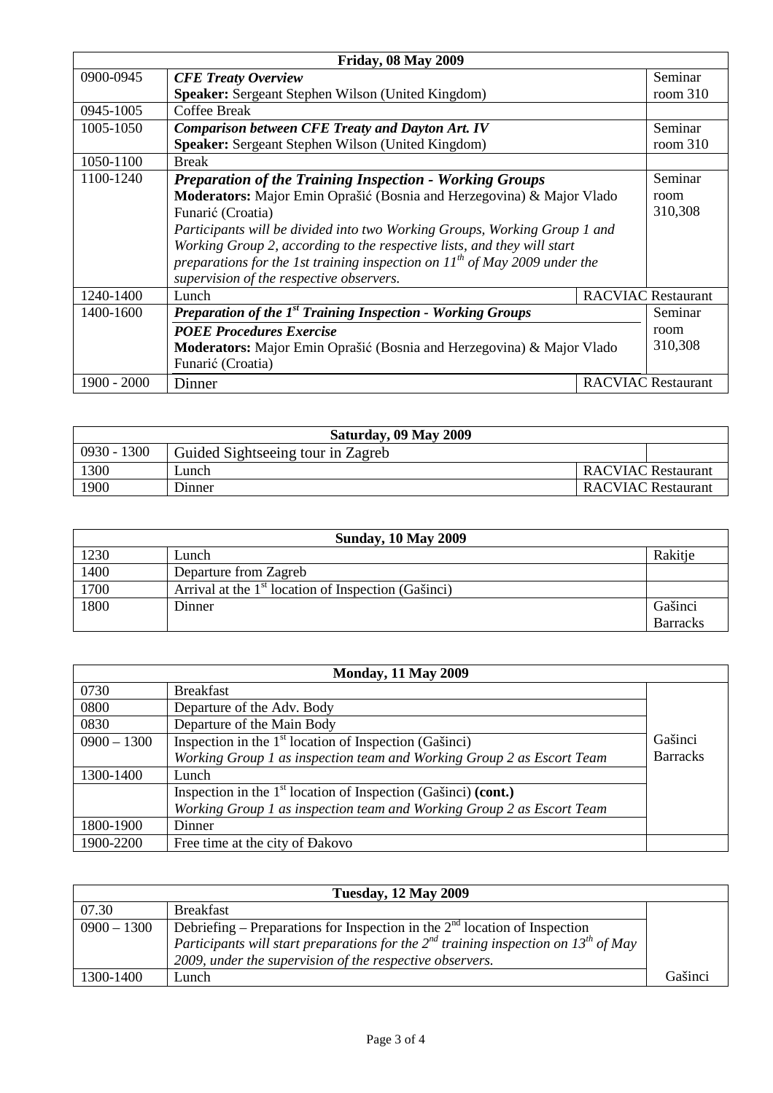| <b>Friday, 08 May 2009</b> |                                                                                 |  |                           |  |
|----------------------------|---------------------------------------------------------------------------------|--|---------------------------|--|
| 0900-0945                  | <b>CFE Treaty Overview</b>                                                      |  | Seminar                   |  |
|                            | <b>Speaker:</b> Sergeant Stephen Wilson (United Kingdom)                        |  | room $310$                |  |
| 0945-1005                  | Coffee Break                                                                    |  |                           |  |
| 1005-1050                  | <b>Comparison between CFE Treaty and Dayton Art. IV</b>                         |  | Seminar                   |  |
|                            | <b>Speaker:</b> Sergeant Stephen Wilson (United Kingdom)                        |  | room $310$                |  |
| 1050-1100                  | <b>Break</b>                                                                    |  |                           |  |
| 1100-1240                  | <b>Preparation of the Training Inspection - Working Groups</b>                  |  | Seminar                   |  |
|                            | Moderators: Major Emin Oprašić (Bosnia and Herzegovina) & Major Vlado           |  | room                      |  |
|                            | Funarić (Croatia)                                                               |  | 310,308                   |  |
|                            | Participants will be divided into two Working Groups, Working Group 1 and       |  |                           |  |
|                            | Working Group 2, according to the respective lists, and they will start         |  |                           |  |
|                            | preparations for the 1st training inspection on $11^{th}$ of May 2009 under the |  |                           |  |
|                            | supervision of the respective observers.                                        |  |                           |  |
| 1240-1400                  | Lunch                                                                           |  | <b>RACVIAC Restaurant</b> |  |
| 1400-1600                  | Preparation of the 1 <sup>st</sup> Training Inspection - Working Groups         |  | Seminar                   |  |
|                            | <b>POEE Procedures Exercise</b>                                                 |  | room                      |  |
|                            | Moderators: Major Emin Oprašić (Bosnia and Herzegovina) & Major Vlado           |  | 310,308                   |  |
|                            | Funarić (Croatia)                                                               |  |                           |  |
| $1900 - 2000$              | Dinner                                                                          |  | <b>RACVIAC Restaurant</b> |  |

| Saturday, 09 May 2009 |                                   |                           |  |  |  |
|-----------------------|-----------------------------------|---------------------------|--|--|--|
| $0930 - 1300$         | Guided Sightseeing tour in Zagreb |                           |  |  |  |
| 1300                  | Lunch                             | <b>RACVIAC Restaurant</b> |  |  |  |
| 1900                  | Dinner                            | RACVIAC Restaurant        |  |  |  |

| <b>Sunday, 10 May 2009</b> |                                                       |                 |  |
|----------------------------|-------------------------------------------------------|-----------------|--|
| 1230                       | Lunch                                                 | Rakitje         |  |
| 1400                       | Departure from Zagreb                                 |                 |  |
| 1700                       | Arrival at the $1st$ location of Inspection (Gašinci) |                 |  |
| 1800                       | Dinner                                                | Gašinci         |  |
|                            |                                                       | <b>Barracks</b> |  |

| <b>Monday, 11 May 2009</b> |                                                                       |                 |
|----------------------------|-----------------------------------------------------------------------|-----------------|
| 0730                       | <b>Breakfast</b>                                                      |                 |
| 0800                       | Departure of the Adv. Body                                            |                 |
| 0830                       | Departure of the Main Body                                            |                 |
| $0900 - 1300$              | Inspection in the $1st$ location of Inspection (Gašinci)              | Gašinci         |
|                            | Working Group 1 as inspection team and Working Group 2 as Escort Team | <b>Barracks</b> |
| 1300-1400                  | Lunch                                                                 |                 |
|                            | Inspection in the $1st$ location of Inspection (Gašinci) (cont.)      |                 |
|                            | Working Group 1 as inspection team and Working Group 2 as Escort Team |                 |
| 1800-1900                  | Dinner                                                                |                 |
| 1900-2200                  | Free time at the city of Dakovo                                       |                 |

| <b>Tuesday, 12 May 2009</b> |                                                                                                      |         |  |
|-----------------------------|------------------------------------------------------------------------------------------------------|---------|--|
| 07.30                       | <b>Breakfast</b>                                                                                     |         |  |
| $0900 - 1300$               | Debriefing – Preparations for Inspection in the $2nd$ location of Inspection                         |         |  |
|                             | Participants will start preparations for the $2^{nd}$ training inspection on 13 <sup>th</sup> of May |         |  |
|                             | 2009, under the supervision of the respective observers.                                             |         |  |
| 1300-1400                   | Lunch                                                                                                | Gašinci |  |